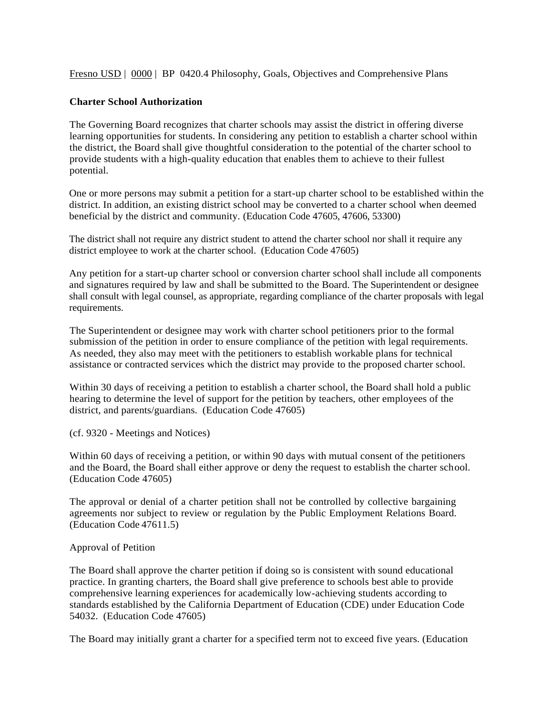Fresno USD | 0000 | BP 0420.4 Philosophy, Goals, Objectives and Comprehensive Plans

## **Charter School Authorization**

The Governing Board recognizes that charter schools may assist the district in offering diverse learning opportunities for students. In considering any petition to establish a charter school within the district, the Board shall give thoughtful consideration to the potential of the charter school to provide students with a high-quality education that enables them to achieve to their fullest potential.

One or more persons may submit a petition for a start-up charter school to be established within the district. In addition, an existing district school may be converted to a charter school when deemed beneficial by the district and community. (Education Code 47605, 47606, 53300)

The district shall not require any district student to attend the charter school nor shall it require any district employee to work at the charter school. (Education Code 47605)

Any petition for a start-up charter school or conversion charter school shall include all components and signatures required by law and shall be submitted to the Board. The Superintendent or designee shall consult with legal counsel, as appropriate, regarding compliance of the charter proposals with legal requirements.

The Superintendent or designee may work with charter school petitioners prior to the formal submission of the petition in order to ensure compliance of the petition with legal requirements. As needed, they also may meet with the petitioners to establish workable plans for technical assistance or contracted services which the district may provide to the proposed charter school.

Within 30 days of receiving a petition to establish a charter school, the Board shall hold a public hearing to determine the level of support for the petition by teachers, other employees of the district, and parents/guardians. (Education Code 47605)

(cf. 9320 - Meetings and Notices)

Within 60 days of receiving a petition, or within 90 days with mutual consent of the petitioners and the Board, the Board shall either approve or deny the request to establish the charter school. (Education Code 47605)

The approval or denial of a charter petition shall not be controlled by collective bargaining agreements nor subject to review or regulation by the Public Employment Relations Board. (Education Code 47611.5)

## Approval of Petition

The Board shall approve the charter petition if doing so is consistent with sound educational practice. In granting charters, the Board shall give preference to schools best able to provide comprehensive learning experiences for academically low-achieving students according to standards established by the California Department of Education (CDE) under Education Code 54032. (Education Code 47605)

The Board may initially grant a charter for a specified term not to exceed five years. (Education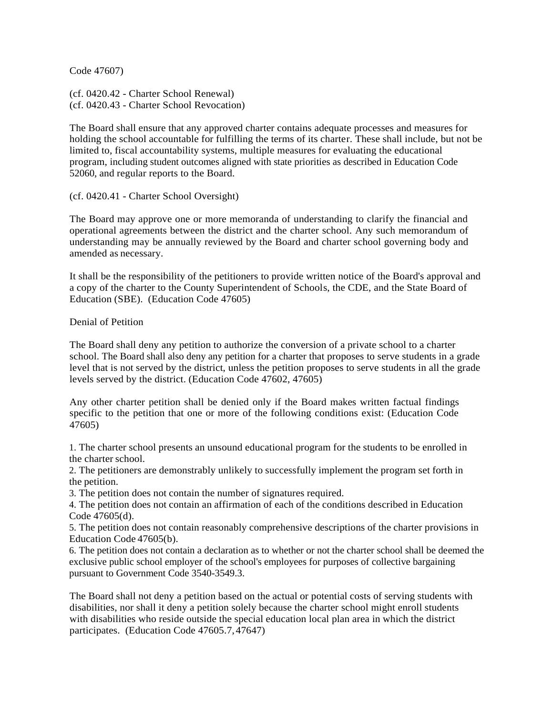Code 47607)

(cf. 0420.42 - Charter School Renewal) (cf. 0420.43 - Charter School Revocation)

The Board shall ensure that any approved charter contains adequate processes and measures for holding the school accountable for fulfilling the terms of its charter. These shall include, but not be limited to, fiscal accountability systems, multiple measures for evaluating the educational program, including student outcomes aligned with state priorities as described in Education Code 52060, and regular reports to the Board.

(cf. 0420.41 - Charter School Oversight)

The Board may approve one or more memoranda of understanding to clarify the financial and operational agreements between the district and the charter school. Any such memorandum of understanding may be annually reviewed by the Board and charter school governing body and amended as necessary.

It shall be the responsibility of the petitioners to provide written notice of the Board's approval and a copy of the charter to the County Superintendent of Schools, the CDE, and the State Board of Education (SBE). (Education Code 47605)

Denial of Petition

The Board shall deny any petition to authorize the conversion of a private school to a charter school. The Board shall also deny any petition for a charter that proposes to serve students in a grade level that is not served by the district, unless the petition proposes to serve students in all the grade levels served by the district. (Education Code 47602, 47605)

Any other charter petition shall be denied only if the Board makes written factual findings specific to the petition that one or more of the following conditions exist: (Education Code 47605)

1. The charter school presents an unsound educational program for the students to be enrolled in the charter school.

2. The petitioners are demonstrably unlikely to successfully implement the program set forth in the petition.

3. The petition does not contain the number of signatures required.

4. The petition does not contain an affirmation of each of the conditions described in Education Code 47605(d).

5. The petition does not contain reasonably comprehensive descriptions of the charter provisions in Education Code 47605(b).

6. The petition does not contain a declaration as to whether or not the charter school shall be deemed the exclusive public school employer of the school's employees for purposes of collective bargaining pursuant to Government Code 3540-3549.3.

The Board shall not deny a petition based on the actual or potential costs of serving students with disabilities, nor shall it deny a petition solely because the charter school might enroll students with disabilities who reside outside the special education local plan area in which the district participates. (Education Code 47605.7, 47647)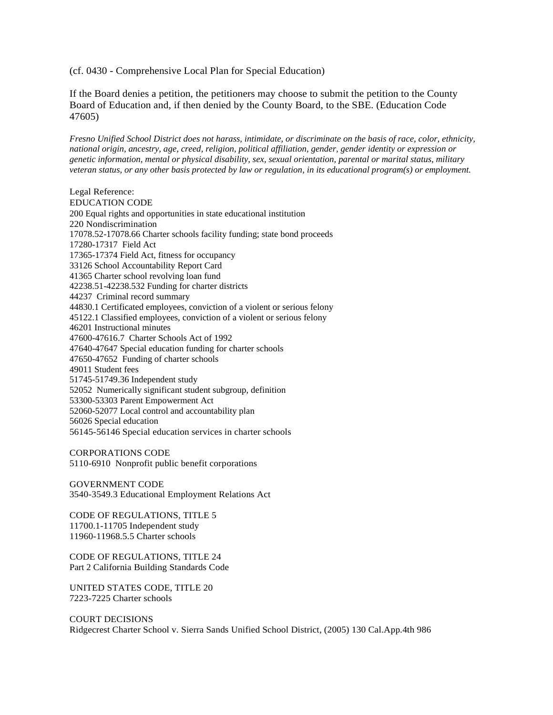(cf. 0430 - Comprehensive Local Plan for Special Education)

If the Board denies a petition, the petitioners may choose to submit the petition to the County Board of Education and, if then denied by the County Board, to the SBE. (Education Code 47605)

*Fresno Unified School District does not harass, intimidate, or discriminate on the basis of race, color, ethnicity, national origin, ancestry, age, creed, religion, political affiliation, gender, gender identity or expression or genetic information, mental or physical disability, sex, sexual orientation, parental or marital status, military veteran status, or any other basis protected by law or regulation, in its educational program(s) or employment.*

Legal Reference: EDUCATION CODE 200 Equal rights and opportunities in state educational institution 220 Nondiscrimination 17078.52-17078.66 Charter schools facility funding; state bond proceeds 17280-17317 Field Act 17365-17374 Field Act, fitness for occupancy 33126 School Accountability Report Card 41365 Charter school revolving loan fund 42238.51-42238.532 Funding for charter districts 44237 Criminal record summary 44830.1 Certificated employees, conviction of a violent or serious felony 45122.1 Classified employees, conviction of a violent or serious felony 46201 Instructional minutes 47600-47616.7 Charter Schools Act of 1992 47640-47647 Special education funding for charter schools 47650-47652 Funding of charter schools 49011 Student fees 51745-51749.36 Independent study 52052 Numerically significant student subgroup, definition 53300-53303 Parent Empowerment Act 52060-52077 Local control and accountability plan 56026 Special education 56145-56146 Special education services in charter schools

CORPORATIONS CODE 5110-6910 Nonprofit public benefit corporations

GOVERNMENT CODE 3540-3549.3 Educational Employment Relations Act

CODE OF REGULATIONS, TITLE 5 11700.1-11705 Independent study 11960-11968.5.5 Charter schools

CODE OF REGULATIONS, TITLE 24 Part 2 California Building Standards Code

UNITED STATES CODE, TITLE 20 7223-7225 Charter schools

COURT DECISIONS Ridgecrest Charter School v. Sierra Sands Unified School District, (2005) 130 Cal.App.4th 986